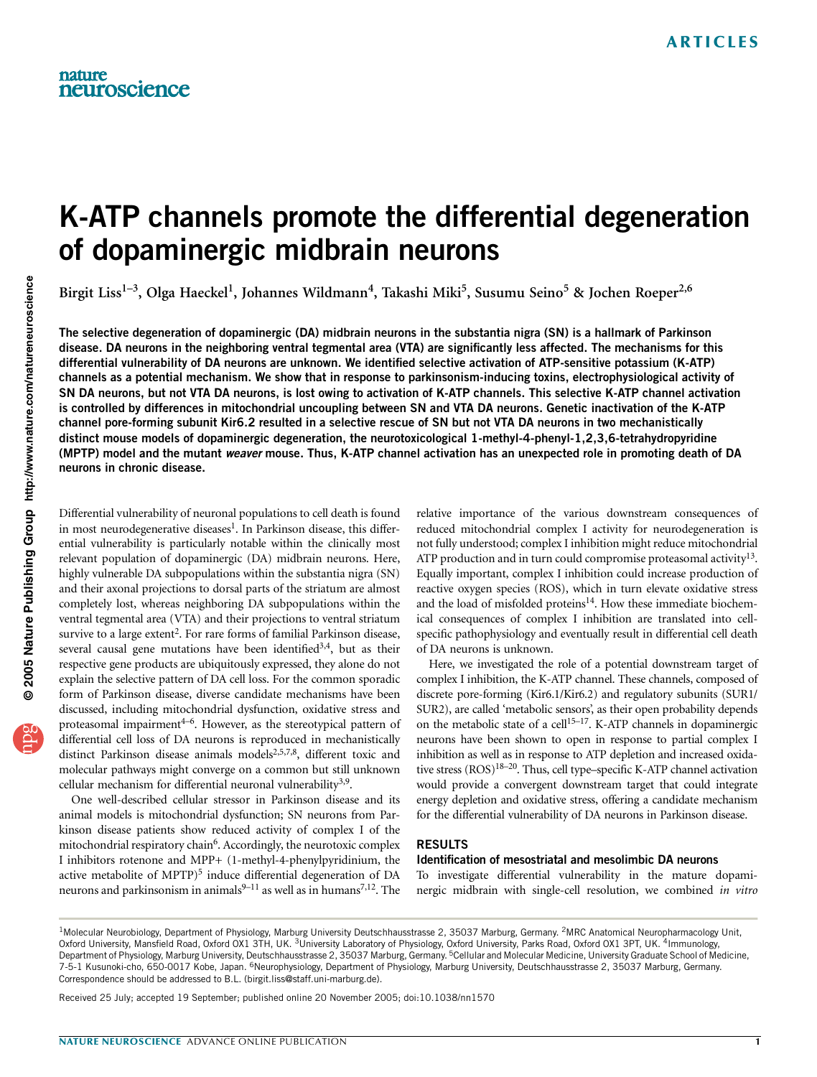# K-ATP channels promote the differential degeneration of dopaminergic midbrain neurons

Birgit Liss<sup>1-3</sup>, Olga Haeckel<sup>1</sup>, Johannes Wildmann<sup>4</sup>, Takashi Miki<sup>5</sup>, Susumu Seino<sup>5</sup> & Jochen Roeper<sup>2,6</sup>

The selective degeneration of dopaminergic (DA) midbrain neurons in the substantia nigra (SN) is a hallmark of Parkinson disease. DA neurons in the neighboring ventral tegmental area (VTA) are significantly less affected. The mechanisms for this differential vulnerability of DA neurons are unknown. We identified selective activation of ATP-sensitive potassium (K-ATP) channels as a potential mechanism. We show that in response to parkinsonism-inducing toxins, electrophysiological activity of SN DA neurons, but not VTA DA neurons, is lost owing to activation of K-ATP channels. This selective K-ATP channel activation is controlled by differences in mitochondrial uncoupling between SN and VTA DA neurons. Genetic inactivation of the K-ATP channel pore-forming subunit Kir6.2 resulted in a selective rescue of SN but not VTA DA neurons in two mechanistically distinct mouse models of dopaminergic degeneration, the neurotoxicological 1-methyl-4-phenyl-1,2,3,6-tetrahydropyridine (MPTP) model and the mutant weaver mouse. Thus, K-ATP channel activation has an unexpected role in promoting death of DA neurons in chronic disease.

Differential vulnerability of neuronal populations to cell death is found in most neurodegenerative diseases<sup>1</sup>. In Parkinson disease, this differential vulnerability is particularly notable within the clinically most relevant population of dopaminergic (DA) midbrain neurons. Here, highly vulnerable DA subpopulations within the substantia nigra (SN) and their axonal projections to dorsal parts of the striatum are almost completely lost, whereas neighboring DA subpopulations within the ventral tegmental area (VTA) and their projections to ventral striatum survive to a large extent<sup>2</sup>. For rare forms of familial Parkinson disease, several causal gene mutations have been identified $3,4$ , but as their respective gene products are ubiquitously expressed, they alone do not explain the selective pattern of DA cell loss. For the common sporadic form of Parkinson disease, diverse candidate mechanisms have been discussed, including mitochondrial dysfunction, oxidative stress and proteasomal impairment $4-6$ . However, as the stereotypical pattern of differential cell loss of DA neurons is reproduced in mechanistically distinct Parkinson disease animals models<sup>2,5,7,8</sup>, different toxic and molecular pathways might converge on a common but still unknown cellular mechanism for differential neuronal vulnerability<sup>3,9</sup>.

One well-described cellular stressor in Parkinson disease and its animal models is mitochondrial dysfunction; SN neurons from Parkinson disease patients show reduced activity of complex I of the mitochondrial respiratory chain<sup>6</sup>. Accordingly, the neurotoxic complex I inhibitors rotenone and MPP+ (1-methyl-4-phenylpyridinium, the active metabolite of MPTP)<sup>5</sup> induce differential degeneration of DA neurons and parkinsonism in animals $9-11$  as well as in humans $7,12$ . The

relative importance of the various downstream consequences of reduced mitochondrial complex I activity for neurodegeneration is not fully understood; complex I inhibition might reduce mitochondrial ATP production and in turn could compromise proteasomal activity<sup>13</sup>. Equally important, complex I inhibition could increase production of reactive oxygen species (ROS), which in turn elevate oxidative stress and the load of misfolded proteins<sup>14</sup>. How these immediate biochemical consequences of complex I inhibition are translated into cellspecific pathophysiology and eventually result in differential cell death of DA neurons is unknown.

Here, we investigated the role of a potential downstream target of complex I inhibition, the K-ATP channel. These channels, composed of discrete pore-forming (Kir6.1/Kir6.2) and regulatory subunits (SUR1/ SUR2), are called 'metabolic sensors', as their open probability depends on the metabolic state of a cell<sup>15–17</sup>. K-ATP channels in dopaminergic neurons have been shown to open in response to partial complex I inhibition as well as in response to ATP depletion and increased oxidative stress (ROS)<sup>18–20</sup>. Thus, cell type–specific K-ATP channel activation would provide a convergent downstream target that could integrate energy depletion and oxidative stress, offering a candidate mechanism for the differential vulnerability of DA neurons in Parkinson disease.

### RESULTS

### Identification of mesostriatal and mesolimbic DA neurons

To investigate differential vulnerability in the mature dopaminergic midbrain with single-cell resolution, we combined in vitro

Received 25 July; accepted 19 September; published online 20 November 2005; doi:10.1038/nn1570

<sup>&</sup>lt;sup>1</sup>Molecular Neurobiology, Department of Physiology, Marburg University Deutschhausstrasse 2, 35037 Marburg, Germany. <sup>2</sup>MRC Anatomical Neuropharmacology Unit, Oxford University, Mansfield Road, Oxford OX1 3TH, UK. <sup>3</sup>University Laboratory of Physiology, Oxford University, Parks Road, Oxford OX1 3PT, UK. <sup>4</sup>Immunology, Department of Physiology, Marburg University, Deutschhausstrasse 2, 35037 Marburg, Germany. <sup>5</sup>Cellular and Molecular Medicine, University Graduate School of Medicine, 7-5-1 Kusunoki-cho, 650-0017 Kobe, Japan. 6Neurophysiology, Department of Physiology, Marburg University, Deutschhausstrasse 2, 35037 Marburg, Germany. Correspondence should be addressed to B.L. (birgit.liss@staff.uni-marburg.de).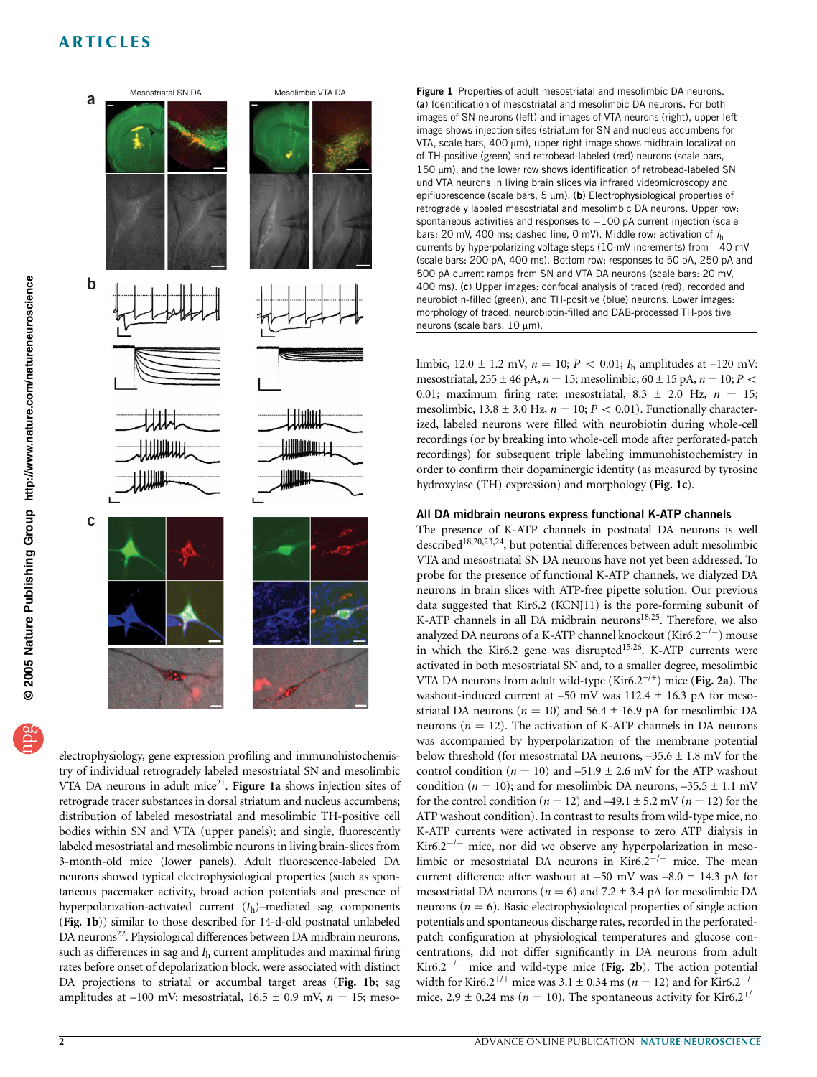

electrophysiology, gene expression profiling and immunohistochemistry of individual retrogradely labeled mesostriatal SN and mesolimbic VTA DA neurons in adult mice<sup>21</sup>. Figure 1a shows injection sites of retrograde tracer substances in dorsal striatum and nucleus accumbens; distribution of labeled mesostriatal and mesolimbic TH-positive cell bodies within SN and VTA (upper panels); and single, fluorescently labeled mesostriatal and mesolimbic neurons in living brain-slices from 3-month-old mice (lower panels). Adult fluorescence-labeled DA neurons showed typical electrophysiological properties (such as spontaneous pacemaker activity, broad action potentials and presence of hyperpolarization-activated current  $(I_h)$ –mediated sag components (Fig. 1b)) similar to those described for 14-d-old postnatal unlabeled DA neurons<sup>22</sup>. Physiological differences between DA midbrain neurons, such as differences in sag and  $I<sub>h</sub>$  current amplitudes and maximal firing rates before onset of depolarization block, were associated with distinct DA projections to striatal or accumbal target areas (Fig. 1b; sag amplitudes at –100 mV: mesostriatal,  $16.5 \pm 0.9$  mV,  $n = 15$ ; mesoFigure 1 Properties of adult mesostriatal and mesolimbic DA neurons. (a) Identification of mesostriatal and mesolimbic DA neurons. For both images of SN neurons (left) and images of VTA neurons (right), upper left image shows injection sites (striatum for SN and nucleus accumbens for VTA, scale bars, 400 µm), upper right image shows midbrain localization of TH-positive (green) and retrobead-labeled (red) neurons (scale bars, 150 mm), and the lower row shows identification of retrobead-labeled SN und VTA neurons in living brain slices via infrared videomicroscopy and epifluorescence (scale bars,  $5 \mu m$ ). (b) Electrophysiological properties of retrogradely labeled mesostriatal and mesolimbic DA neurons. Upper row: spontaneous activities and responses to  $-100$  pA current injection (scale bars: 20 mV, 400 ms; dashed line, 0 mV). Middle row: activation of  $I<sub>h</sub>$ currents by hyperpolarizing voltage steps  $(10-mV$  increments) from  $-40 mV$ (scale bars: 200 pA, 400 ms). Bottom row: responses to 50 pA, 250 pA and 500 pA current ramps from SN and VTA DA neurons (scale bars: 20 mV, 400 ms). (c) Upper images: confocal analysis of traced (red), recorded and neurobiotin-filled (green), and TH-positive (blue) neurons. Lower images: morphology of traced, neurobiotin-filled and DAB-processed TH-positive neurons (scale bars,  $10 \mu m$ ).

limbic,  $12.0 \pm 1.2$  mV,  $n = 10$ ;  $P < 0.01$ ;  $I_h$  amplitudes at -120 mV: mesostriatal, 255  $\pm$  46 pA,  $n = 15$ ; mesolimbic, 60  $\pm$  15 pA,  $n = 10$ ;  $P$  < 0.01; maximum firing rate: mesostriatal,  $8.3 \pm 2.0$  Hz,  $n = 15$ ; mesolimbic,  $13.8 \pm 3.0$  Hz,  $n = 10$ ;  $P < 0.01$ ). Functionally characterized, labeled neurons were filled with neurobiotin during whole-cell recordings (or by breaking into whole-cell mode after perforated-patch recordings) for subsequent triple labeling immunohistochemistry in order to confirm their dopaminergic identity (as measured by tyrosine hydroxylase (TH) expression) and morphology (Fig. 1c).

### All DA midbrain neurons express functional K-ATP channels

The presence of K-ATP channels in postnatal DA neurons is well described18,20,23,24, but potential differences between adult mesolimbic VTA and mesostriatal SN DA neurons have not yet been addressed. To probe for the presence of functional K-ATP channels, we dialyzed DA neurons in brain slices with ATP-free pipette solution. Our previous data suggested that Kir6.2 (KCNJ11) is the pore-forming subunit of K-ATP channels in all DA midbrain neurons<sup>18,25</sup>. Therefore, we also analyzed DA neurons of a K-ATP channel knockout (Kir6.2<sup>-/-</sup>) mouse in which the Kir6.2 gene was disrupted<sup>15,26</sup>. K-ATP currents were activated in both mesostriatal SN and, to a smaller degree, mesolimbic VTA DA neurons from adult wild-type (Kir6.2<sup>+/+</sup>) mice (Fig. 2a). The washout-induced current at  $-50$  mV was  $112.4 \pm 16.3$  pA for mesostriatal DA neurons ( $n = 10$ ) and 56.4  $\pm$  16.9 pA for mesolimbic DA neurons ( $n = 12$ ). The activation of K-ATP channels in DA neurons was accompanied by hyperpolarization of the membrane potential below threshold (for mesostriatal DA neurons,  $-35.6 \pm 1.8$  mV for the control condition ( $n = 10$ ) and  $-51.9 \pm 2.6$  mV for the ATP washout condition ( $n = 10$ ); and for mesolimbic DA neurons,  $-35.5 \pm 1.1$  mV for the control condition ( $n = 12$ ) and  $-49.1 \pm 5.2$  mV ( $n = 12$ ) for the ATP washout condition). In contrast to results from wild-type mice, no K-ATP currents were activated in response to zero ATP dialysis in Kir6.2<sup> $-/-$ </sup> mice, nor did we observe any hyperpolarization in mesolimbic or mesostriatal DA neurons in Kir6.2 $^{-/-}$  mice. The mean current difference after washout at  $-50$  mV was  $-8.0 \pm 14.3$  pA for mesostriatal DA neurons ( $n = 6$ ) and 7.2  $\pm$  3.4 pA for mesolimbic DA neurons ( $n = 6$ ). Basic electrophysiological properties of single action potentials and spontaneous discharge rates, recorded in the perforatedpatch configuration at physiological temperatures and glucose concentrations, did not differ significantly in DA neurons from adult Kir6.2<sup> $-/-$ </sup> mice and wild-type mice (Fig. 2b). The action potential width for Kir6.2<sup>+/+</sup> mice was 3.1  $\pm$  0.34 ms (n = 12) and for Kir6.2<sup>-/-</sup> mice,  $2.9 \pm 0.24$  ms ( $n = 10$ ). The spontaneous activity for Kir6.2<sup>+/+</sup>

pg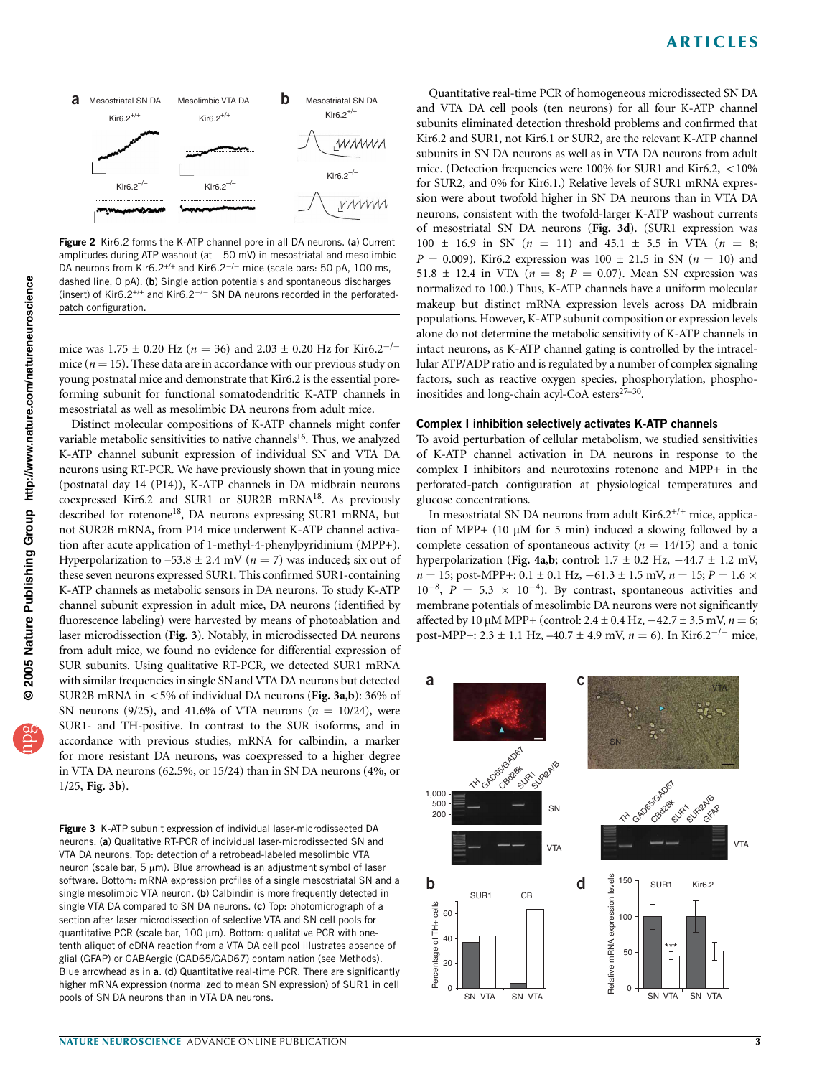

Figure 2 Kir6.2 forms the K-ATP channel pore in all DA neurons. (a) Current amplitudes during ATP washout (at  $-50$  mV) in mesostriatal and mesolimbic DA neurons from Kir6.2<sup>+/+</sup> and Kir6.2<sup>-/-</sup> mice (scale bars: 50 pA, 100 ms, dashed line, 0 pA). (b) Single action potentials and spontaneous discharges (insert) of Kir6.2<sup>+/+</sup> and Kir6.2<sup>-/-</sup> SN DA neurons recorded in the perforatedpatch configuration.

mice was 1.75  $\pm$  0.20 Hz (n = 36) and 2.03  $\pm$  0.20 Hz for Kir6.2<sup>-/-</sup> mice ( $n = 15$ ). These data are in accordance with our previous study on young postnatal mice and demonstrate that Kir6.2 is the essential poreforming subunit for functional somatodendritic K-ATP channels in mesostriatal as well as mesolimbic DA neurons from adult mice.

Distinct molecular compositions of K-ATP channels might confer variable metabolic sensitivities to native channels<sup>16</sup>. Thus, we analyzed K-ATP channel subunit expression of individual SN and VTA DA neurons using RT-PCR. We have previously shown that in young mice (postnatal day 14 (P14)), K-ATP channels in DA midbrain neurons coexpressed Kir6.2 and SUR1 or SUR2B mRNA18. As previously described for rotenone<sup>18</sup>, DA neurons expressing SUR1 mRNA, but not SUR2B mRNA, from P14 mice underwent K-ATP channel activation after acute application of 1-methyl-4-phenylpyridinium (MPP+). Hyperpolarization to  $-53.8 \pm 2.4$  mV ( $n = 7$ ) was induced; six out of these seven neurons expressed SUR1. This confirmed SUR1-containing K-ATP channels as metabolic sensors in DA neurons. To study K-ATP channel subunit expression in adult mice, DA neurons (identified by fluorescence labeling) were harvested by means of photoablation and laser microdissection (Fig. 3). Notably, in microdissected DA neurons from adult mice, we found no evidence for differential expression of SUR subunits. Using qualitative RT-PCR, we detected SUR1 mRNA with similar frequencies in single SN and VTA DA neurons but detected SUR2B mRNA in  $\lt$  5% of individual DA neurons (Fig. 3a,b): 36% of SN neurons (9/25), and 41.6% of VTA neurons ( $n = 10/24$ ), were SUR1- and TH-positive. In contrast to the SUR isoforms, and in accordance with previous studies, mRNA for calbindin, a marker for more resistant DA neurons, was coexpressed to a higher degree in VTA DA neurons (62.5%, or 15/24) than in SN DA neurons (4%, or 1/25, Fig. 3b).

Figure 3 K-ATP subunit expression of individual laser-microdissected DA neurons. (a) Qualitative RT-PCR of individual laser-microdissected SN and VTA DA neurons. Top: detection of a retrobead-labeled mesolimbic VTA neuron (scale bar,  $5 \mu m$ ). Blue arrowhead is an adjustment symbol of laser software. Bottom: mRNA expression profiles of a single mesostriatal SN and a single mesolimbic VTA neuron. (b) Calbindin is more frequently detected in single VTA DA compared to SN DA neurons. (c) Top: photomicrograph of a section after laser microdissection of selective VTA and SN cell pools for quantitative PCR (scale bar,  $100 \mu m$ ). Bottom: qualitative PCR with onetenth aliquot of cDNA reaction from a VTA DA cell pool illustrates absence of glial (GFAP) or GABAergic (GAD65/GAD67) contamination (see Methods). Blue arrowhead as in a. (d) Quantitative real-time PCR. There are significantly higher mRNA expression (normalized to mean SN expression) of SUR1 in cell pools of SN DA neurons than in VTA DA neurons.

Quantitative real-time PCR of homogeneous microdissected SN DA and VTA DA cell pools (ten neurons) for all four K-ATP channel subunits eliminated detection threshold problems and confirmed that Kir6.2 and SUR1, not Kir6.1 or SUR2, are the relevant K-ATP channel subunits in SN DA neurons as well as in VTA DA neurons from adult mice. (Detection frequencies were  $100\%$  for SUR1 and Kir6.2,  $\lt 10\%$ for SUR2, and 0% for Kir6.1.) Relative levels of SUR1 mRNA expression were about twofold higher in SN DA neurons than in VTA DA neurons, consistent with the twofold-larger K-ATP washout currents of mesostriatal SN DA neurons (Fig. 3d). (SUR1 expression was  $100 \pm 16.9$  in SN  $(n = 11)$  and  $45.1 \pm 5.5$  in VTA  $(n = 8;$  $P = 0.009$ ). Kir6.2 expression was 100  $\pm$  21.5 in SN (n = 10) and 51.8  $\pm$  12.4 in VTA ( $n = 8$ ;  $P = 0.07$ ). Mean SN expression was normalized to 100.) Thus, K-ATP channels have a uniform molecular makeup but distinct mRNA expression levels across DA midbrain populations. However, K-ATP subunit composition or expression levels alone do not determine the metabolic sensitivity of K-ATP channels in intact neurons, as K-ATP channel gating is controlled by the intracellular ATP/ADP ratio and is regulated by a number of complex signaling factors, such as reactive oxygen species, phosphorylation, phosphoinositides and long-chain acyl-CoA esters<sup>27-30</sup>.

### Complex I inhibition selectively activates K-ATP channels

To avoid perturbation of cellular metabolism, we studied sensitivities of K-ATP channel activation in DA neurons in response to the complex I inhibitors and neurotoxins rotenone and MPP+ in the perforated-patch configuration at physiological temperatures and glucose concentrations.

In mesostriatal SN DA neurons from adult  $\text{Kir6.2}^{+/+}$  mice, application of MPP+ (10 µM for 5 min) induced a slowing followed by a complete cessation of spontaneous activity ( $n = 14/15$ ) and a tonic hyperpolarization (Fig. 4a,b; control:  $1.7 \pm 0.2$  Hz,  $-44.7 \pm 1.2$  mV,  $n = 15$ ; post-MPP+: 0.1  $\pm$  0.1 Hz, -61.3  $\pm$  1.5 mV,  $n = 15; P = 1.6 \times$  $10^{-8}$ ,  $P = 5.3 \times 10^{-4}$ ). By contrast, spontaneous activities and membrane potentials of mesolimbic DA neurons were not significantly affected by 10  $\mu$ M MPP+ (control: 2.4  $\pm$  0.4 Hz,  $-42.7 \pm 3.5$  mV,  $n = 6$ ; post-MPP+: 2.3  $\pm$  1.1 Hz, -40.7  $\pm$  4.9 mV,  $n = 6$ ). In Kir6.2<sup>-/-</sup> mice,

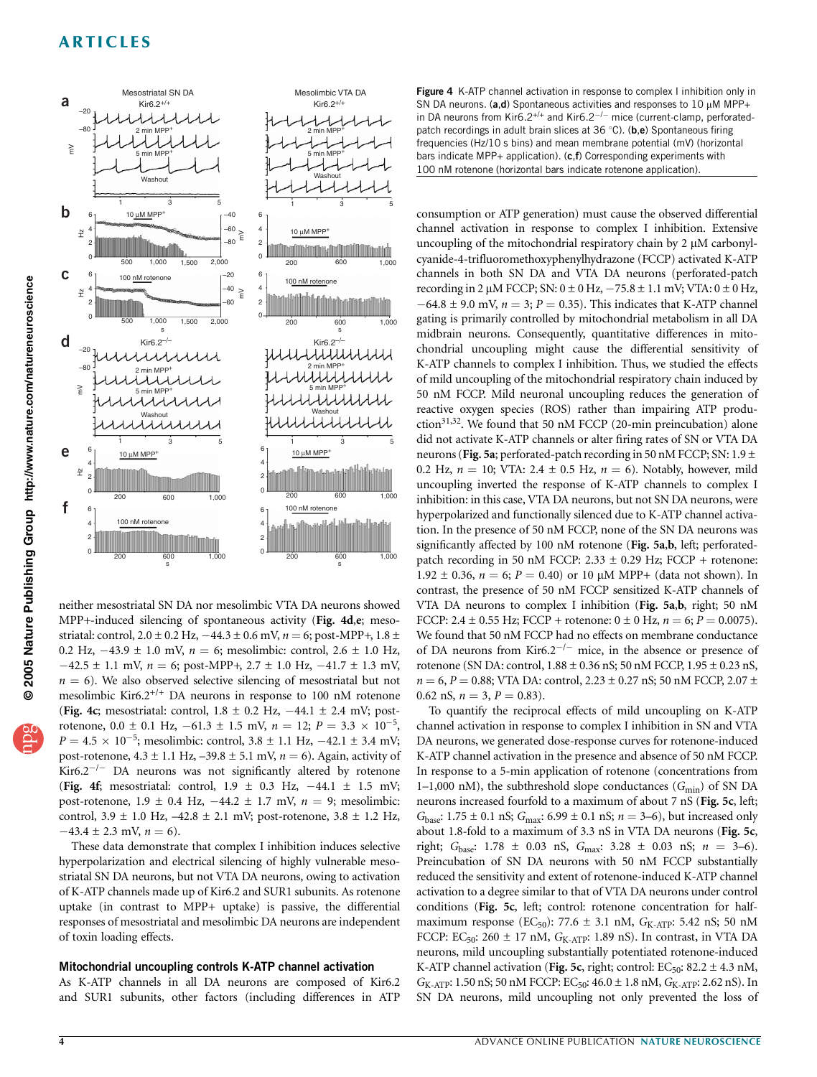

neither mesostriatal SN DA nor mesolimbic VTA DA neurons showed MPP+-induced silencing of spontaneous activity (Fig. 4d,e; mesostriatal: control,  $2.0 \pm 0.2$  Hz,  $-44.3 \pm 0.6$  mV,  $n = 6$ ; post-MPP+,  $1.8 \pm$ 0.2 Hz,  $-43.9 \pm 1.0$  mV,  $n = 6$ ; mesolimbic: control,  $2.6 \pm 1.0$  Hz,  $-42.5 \pm 1.1$  mV,  $n = 6$ ; post-MPP+,  $2.7 \pm 1.0$  Hz,  $-41.7 \pm 1.3$  mV,  $n = 6$ ). We also observed selective silencing of mesostriatal but not mesolimbic Kir6.2<sup>+/+</sup> DA neurons in response to 100 nM rotenone (Fig. 4c; mesostriatal: control,  $1.8 \pm 0.2$  Hz,  $-44.1 \pm 2.4$  mV; postrotenone,  $0.0 \pm 0.1$  Hz,  $-61.3 \pm 1.5$  mV,  $n = 12$ ;  $P = 3.3 \times 10^{-5}$ ,  $P = 4.5 \times 10^{-5}$ ; mesolimbic: control,  $3.8 \pm 1.1$  Hz,  $-42.1 \pm 3.4$  mV; post-rotenone,  $4.3 \pm 1.1$  Hz,  $-39.8 \pm 5.1$  mV,  $n = 6$ ). Again, activity of Kir6.2<sup> $-/-$ </sup> DA neurons was not significantly altered by rotenone (Fig. 4f; mesostriatal: control,  $1.9 \pm 0.3$  Hz,  $-44.1 \pm 1.5$  mV; post-rotenone,  $1.9 \pm 0.4$  Hz,  $-44.2 \pm 1.7$  mV,  $n = 9$ ; mesolimbic: control,  $3.9 \pm 1.0$  Hz,  $-42.8 \pm 2.1$  mV; post-rotenone,  $3.8 \pm 1.2$  Hz,  $-43.4 \pm 2.3$  mV,  $n = 6$ ).

These data demonstrate that complex I inhibition induces selective hyperpolarization and electrical silencing of highly vulnerable mesostriatal SN DA neurons, but not VTA DA neurons, owing to activation of K-ATP channels made up of Kir6.2 and SUR1 subunits. As rotenone uptake (in contrast to MPP+ uptake) is passive, the differential responses of mesostriatal and mesolimbic DA neurons are independent of toxin loading effects.

### Mitochondrial uncoupling controls K-ATP channel activation

As K-ATP channels in all DA neurons are composed of Kir6.2 and SUR1 subunits, other factors (including differences in ATP

Figure 4 K-ATP channel activation in response to complex I inhibition only in SN DA neurons. (a,d) Spontaneous activities and responses to 10  $\mu$ M MPP+ in DA neurons from Kir6.2<sup>+/+</sup> and Kir6.2<sup>-/-</sup> mice (current-clamp, perforatedpatch recordings in adult brain slices at 36 °C). (b,e) Spontaneous firing frequencies (Hz/10 s bins) and mean membrane potential (mV) (horizontal bars indicate MPP+ application). (c,f) Corresponding experiments with 100 nM rotenone (horizontal bars indicate rotenone application).

consumption or ATP generation) must cause the observed differential channel activation in response to complex I inhibition. Extensive uncoupling of the mitochondrial respiratory chain by  $2 \mu M$  carbonylcyanide-4-trifluoromethoxyphenylhydrazone (FCCP) activated K-ATP channels in both SN DA and VTA DA neurons (perforated-patch recording in 2  $\mu$ M FCCP; SN:  $0 \pm 0$  Hz,  $-75.8 \pm 1.1$  mV; VTA:  $0 \pm 0$  Hz,  $-64.8 \pm 9.0$  mV,  $n = 3$ ;  $P = 0.35$ ). This indicates that K-ATP channel gating is primarily controlled by mitochondrial metabolism in all DA midbrain neurons. Consequently, quantitative differences in mitochondrial uncoupling might cause the differential sensitivity of K-ATP channels to complex I inhibition. Thus, we studied the effects of mild uncoupling of the mitochondrial respiratory chain induced by 50 nM FCCP. Mild neuronal uncoupling reduces the generation of reactive oxygen species (ROS) rather than impairing ATP production<sup>31,32</sup>. We found that 50 nM FCCP (20-min preincubation) alone did not activate K-ATP channels or alter firing rates of SN or VTA DA neurons (Fig. 5a; perforated-patch recording in 50 nM FCCP; SN: 1.9  $\pm$ 0.2 Hz,  $n = 10$ ; VTA: 2.4  $\pm$  0.5 Hz,  $n = 6$ ). Notably, however, mild uncoupling inverted the response of K-ATP channels to complex I inhibition: in this case, VTA DA neurons, but not SN DA neurons, were hyperpolarized and functionally silenced due to K-ATP channel activation. In the presence of 50 nM FCCP, none of the SN DA neurons was significantly affected by 100 nM rotenone (Fig. 5a,b, left; perforatedpatch recording in 50 nM FCCP:  $2.33 \pm 0.29$  Hz; FCCP + rotenone: 1.92  $\pm$  0.36,  $n = 6$ ;  $P = 0.40$ ) or 10  $\mu$ M MPP+ (data not shown). In contrast, the presence of 50 nM FCCP sensitized K-ATP channels of VTA DA neurons to complex I inhibition (Fig. 5a,b, right; 50 nM FCCP: 2.4  $\pm$  0.55 Hz; FCCP + rotenone: 0  $\pm$  0 Hz, n = 6; P = 0.0075). We found that 50 nM FCCP had no effects on membrane conductance of DA neurons from Kir6.2<sup> $-/-$ </sup> mice, in the absence or presence of rotenone (SN DA: control,  $1.88 \pm 0.36$  nS; 50 nM FCCP,  $1.95 \pm 0.23$  nS,  $n = 6$ ,  $P = 0.88$ ; VTA DA: control, 2.23  $\pm$  0.27 nS; 50 nM FCCP, 2.07  $\pm$ 0.62 nS,  $n = 3$ ,  $P = 0.83$ ).

To quantify the reciprocal effects of mild uncoupling on K-ATP channel activation in response to complex I inhibition in SN and VTA DA neurons, we generated dose-response curves for rotenone-induced K-ATP channel activation in the presence and absence of 50 nM FCCP. In response to a 5-min application of rotenone (concentrations from 1–1,000 nM), the subthreshold slope conductances ( $G_{\text{min}}$ ) of SN DA neurons increased fourfold to a maximum of about 7 nS (Fig. 5c, left;  $G_{base}$ : 1.75 ± 0.1 nS;  $G_{max}$ : 6.99 ± 0.1 nS;  $n = 3-6$ ), but increased only about 1.8-fold to a maximum of 3.3 nS in VTA DA neurons (Fig. 5c, right; G<sub>base</sub>: 1.78  $\pm$  0.03 nS, G<sub>max</sub>: 3.28  $\pm$  0.03 nS;  $n = 3-6$ ). Preincubation of SN DA neurons with 50 nM FCCP substantially reduced the sensitivity and extent of rotenone-induced K-ATP channel activation to a degree similar to that of VTA DA neurons under control conditions (Fig. 5c, left; control: rotenone concentration for halfmaximum response (EC<sub>50</sub>): 77.6  $\pm$  3.1 nM, G<sub>K-ATP</sub>: 5.42 nS; 50 nM FCCP: EC<sub>50</sub>: 260  $\pm$  17 nM, G<sub>K-ATP</sub>: 1.89 nS). In contrast, in VTA DA neurons, mild uncoupling substantially potentiated rotenone-induced K-ATP channel activation (Fig. 5c, right; control:  $EC_{50}$ : 82.2 ± 4.3 nM,  $G_{K-ATP}$ : 1.50 nS; 50 nM FCCP:  $EC_{50}$ : 46.0  $\pm$  1.8 nM,  $G_{K-ATP}$ : 2.62 nS). In SN DA neurons, mild uncoupling not only prevented the loss of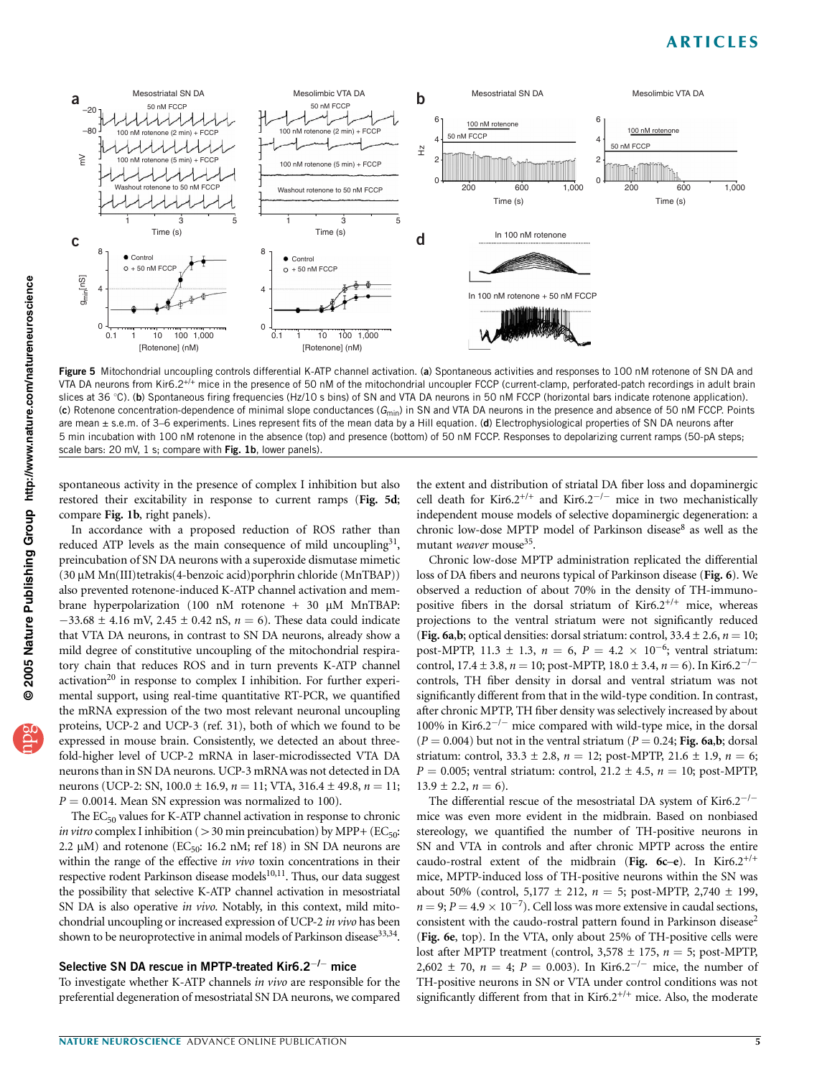

Figure 5 Mitochondrial uncoupling controls differential K-ATP channel activation. (a) Spontaneous activities and responses to 100 nM rotenone of SN DA and VTA DA neurons from Kir6.2<sup>+/+</sup> mice in the presence of 50 nM of the mitochondrial uncoupler FCCP (current-clamp, perforated-patch recordings in adult brain slices at 36 °C). (b) Spontaneous firing frequencies (Hz/10 s bins) of SN and VTA DA neurons in 50 nM FCCP (horizontal bars indicate rotenone application). (c) Rotenone concentration-dependence of minimal slope conductances ( $G<sub>min</sub>$ ) in SN and VTA DA neurons in the presence and absence of 50 nM FCCP. Points are mean  $\pm$  s.e.m. of 3–6 experiments. Lines represent fits of the mean data by a Hill equation. (d) Electrophysiological properties of SN DA neurons after 5 min incubation with 100 nM rotenone in the absence (top) and presence (bottom) of 50 nM FCCP. Responses to depolarizing current ramps (50-pA steps; scale bars: 20 mV, 1 s; compare with Fig. 1b, lower panels).

spontaneous activity in the presence of complex I inhibition but also restored their excitability in response to current ramps (Fig. 5d; compare Fig. 1b, right panels).

In accordance with a proposed reduction of ROS rather than reduced ATP levels as the main consequence of mild uncoupling<sup>31</sup>, preincubation of SN DA neurons with a superoxide dismutase mimetic (30 mM Mn(III)tetrakis(4-benzoic acid)porphrin chloride (MnTBAP)) also prevented rotenone-induced K-ATP channel activation and membrane hyperpolarization (100 nM rotenone + 30  $\mu$ M MnTBAP:  $-33.68 \pm 4.16$  mV, 2.45  $\pm$  0.42 nS,  $n = 6$ ). These data could indicate that VTA DA neurons, in contrast to SN DA neurons, already show a mild degree of constitutive uncoupling of the mitochondrial respiratory chain that reduces ROS and in turn prevents K-ATP channel activation<sup>20</sup> in response to complex I inhibition. For further experimental support, using real-time quantitative RT-PCR, we quantified the mRNA expression of the two most relevant neuronal uncoupling proteins, UCP-2 and UCP-3 (ref. 31), both of which we found to be expressed in mouse brain. Consistently, we detected an about threefold-higher level of UCP-2 mRNA in laser-microdissected VTA DA neurons than in SN DA neurons. UCP-3 mRNA was not detected in DA neurons (UCP-2: SN,  $100.0 \pm 16.9$ ,  $n = 11$ ; VTA,  $316.4 \pm 49.8$ ,  $n = 11$ ;  $P = 0.0014$ . Mean SN expression was normalized to 100).

The  $EC_{50}$  values for K-ATP channel activation in response to chronic *in vitro* complex I inhibition ( $>$  30 min preincubation) by MPP+ (EC<sub>50</sub>: 2.2  $\mu$ M) and rotenone (EC<sub>50</sub>: 16.2 nM; ref 18) in SN DA neurons are within the range of the effective in vivo toxin concentrations in their respective rodent Parkinson disease models $10,11$ . Thus, our data suggest the possibility that selective K-ATP channel activation in mesostriatal SN DA is also operative in vivo. Notably, in this context, mild mitochondrial uncoupling or increased expression of UCP-2 in vivo has been shown to be neuroprotective in animal models of Parkinson disease<sup>33,34</sup>.

### Selective SN DA rescue in MPTP-treated Kir6.2 $^{-/-}$  mice

To investigate whether K-ATP channels in vivo are responsible for the preferential degeneration of mesostriatal SN DA neurons, we compared

the extent and distribution of striatal DA fiber loss and dopaminergic cell death for Kir6.2<sup>+/+</sup> and Kir6.2<sup>-/-</sup> mice in two mechanistically independent mouse models of selective dopaminergic degeneration: a chronic low-dose MPTP model of Parkinson disease<sup>8</sup> as well as the mutant weaver mouse<sup>35</sup>.

Chronic low-dose MPTP administration replicated the differential loss of DA fibers and neurons typical of Parkinson disease (Fig. 6). We observed a reduction of about 70% in the density of TH-immunopositive fibers in the dorsal striatum of  $Kir6.2^{+/+}$  mice, whereas projections to the ventral striatum were not significantly reduced (Fig. 6a,b; optical densities: dorsal striatum: control,  $33.4 \pm 2.6$ ,  $n = 10$ ; post-MPTP, 11.3  $\pm$  1.3,  $n = 6$ ,  $P = 4.2 \times 10^{-6}$ ; ventral striatum: control, 17.4  $\pm$  3.8,  $n = 10$ ; post-MPTP, 18.0  $\pm$  3.4,  $n = 6$ ). In Kir6.2<sup>-/-</sup> controls, TH fiber density in dorsal and ventral striatum was not significantly different from that in the wild-type condition. In contrast, after chronic MPTP, TH fiber density was selectively increased by about 100% in Kir6.2<sup> $-/-$ </sup> mice compared with wild-type mice, in the dorsal  $(P = 0.004)$  but not in the ventral striatum  $(P = 0.24; Fig. 6a,b; dorsal)$ striatum: control,  $33.3 \pm 2.8$ ,  $n = 12$ ; post-MPTP,  $21.6 \pm 1.9$ ,  $n = 6$ ;  $P = 0.005$ ; ventral striatum: control,  $21.2 \pm 4.5$ ,  $n = 10$ ; post-MPTP,  $13.9 \pm 2.2$ ,  $n = 6$ ).

The differential rescue of the mesostriatal DA system of Kir6.2<sup>-/-</sup> mice was even more evident in the midbrain. Based on nonbiased stereology, we quantified the number of TH-positive neurons in SN and VTA in controls and after chronic MPTP across the entire caudo-rostral extent of the midbrain (Fig. 6c-e). In Kir6.2<sup>+/+</sup> mice, MPTP-induced loss of TH-positive neurons within the SN was about 50% (control,  $5,177 \pm 212$ ,  $n = 5$ ; post-MPTP, 2,740  $\pm$  199,  $n = 9; P = 4.9 \times 10^{-7}$ . Cell loss was more extensive in caudal sections, consistent with the caudo-rostral pattern found in Parkinson disease<sup>2</sup> (Fig. 6e, top). In the VTA, only about 25% of TH-positive cells were lost after MPTP treatment (control,  $3,578 \pm 175$ ,  $n = 5$ ; post-MPTP, 2,602  $\pm$  70,  $n = 4$ ;  $P = 0.003$ ). In Kir6.2<sup>-/-</sup> mice, the number of TH-positive neurons in SN or VTA under control conditions was not significantly different from that in Kir6.2<sup>+/+</sup> mice. Also, the moderate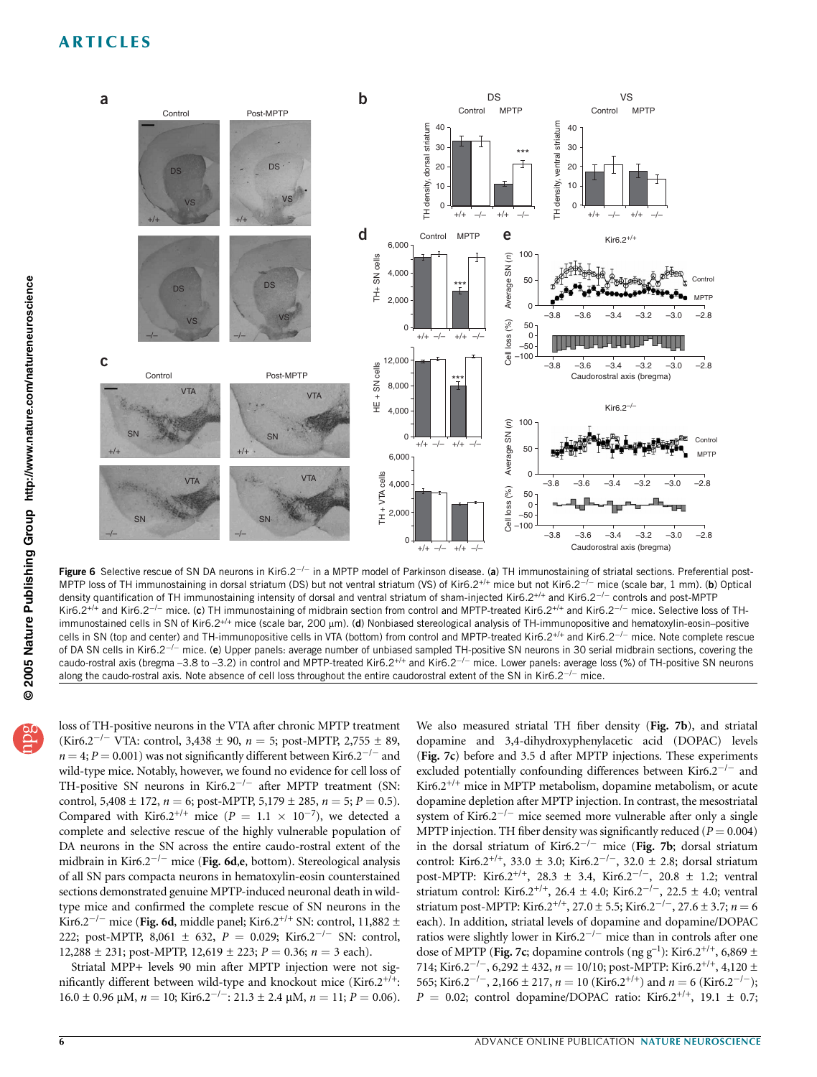

Figure 6 Selective rescue of SN DA neurons in Kir6.2<sup>-/-</sup> in a MPTP model of Parkinson disease. (a) TH immunostaining of striatal sections. Preferential post-MPTP loss of TH immunostaining in dorsal striatum (DS) but not ventral striatum (VS) of Kir6.2<sup>+/+</sup> mice but not Kir6.2<sup>-/-</sup> mice (scale bar, 1 mm). (b) Optical density quantification of TH immunostaining intensity of dorsal and ventral striatum of sham-injected Kir6.2<sup>+/+</sup> and Kir6.2<sup>-/-</sup> controls and post-MPTP Kir6.2<sup>+/+</sup> and Kir6.2<sup>-/-</sup> mice. (c) TH immunostaining of midbrain section from control and MPTP-treated Kir6.2<sup>+/+</sup> and Kir6.2<sup>-/-</sup> mice. Selective loss of THimmunostained cells in SN of Kir6.2<sup>+/+</sup> mice (scale bar, 200 µm). (d) Nonbiased stereological analysis of TH-immunopositive and hematoxylin-eosin-positive cells in SN (top and center) and TH-immunopositive cells in VTA (bottom) from control and MPTP-treated Kir6.2<sup>+/+</sup> and Kir6.2<sup>-/-</sup> mice. Note complete rescue of DA SN cells in Kir6.2<sup>-/-</sup> mice. (e) Upper panels: average number of unbiased sampled TH-positive SN neurons in 30 serial midbrain sections, covering the caudo-rostral axis (bregma -3.8 to -3.2) in control and MPTP-treated Kir6.2<sup>+/+</sup> and Kir6.2<sup>-/-</sup> mice. Lower panels: average loss (%) of TH-positive SN neurons along the caudo-rostral axis. Note absence of cell loss throughout the entire caudorostral extent of the SN in Kir6.2 $^{-/-}$  mice.

loss of TH-positive neurons in the VTA after chronic MPTP treatment (Kir6.2<sup>-/-</sup> VTA: control, 3,438  $\pm$  90,  $n = 5$ ; post-MPTP, 2,755  $\pm$  89,  $n = 4$ ;  $P = 0.001$ ) was not significantly different between Kir6.2<sup>-/-</sup> and wild-type mice. Notably, however, we found no evidence for cell loss of TH-positive SN neurons in Kir6.2<sup>-/-</sup> after MPTP treatment (SN: control,  $5,408 \pm 172$ ,  $n = 6$ ; post-MPTP,  $5,179 \pm 285$ ,  $n = 5$ ;  $P = 0.5$ ). Compared with Kir6.2<sup>+/+</sup> mice ( $P = 1.1 \times 10^{-7}$ ), we detected a complete and selective rescue of the highly vulnerable population of DA neurons in the SN across the entire caudo-rostral extent of the midbrain in Kir6.2<sup>-/-</sup> mice (Fig. 6d,e, bottom). Stereological analysis of all SN pars compacta neurons in hematoxylin-eosin counterstained sections demonstrated genuine MPTP-induced neuronal death in wildtype mice and confirmed the complete rescue of SN neurons in the

Kir6.2<sup>-/-</sup> mice (Fig. 6d, middle panel; Kir6.2<sup>+/+</sup> SN: control, 11,882 ± 222; post-MPTP, 8,061  $\pm$  632,  $P = 0.029$ ; Kir6.2<sup>-/-</sup> SN: control, 12,288  $\pm$  231; post-MPTP, 12,619  $\pm$  223;  $P = 0.36$ ;  $n = 3$  each). Striatal MPP+ levels 90 min after MPTP injection were not significantly different between wild-type and knockout mice (Kir6.2+/+:

 $16.0 \pm 0.96 \,\mu$ M,  $n = 10$ ; Kir6.2<sup>-/-</sup>: 21.3  $\pm$  2.4  $\mu$ M,  $n = 11$ ;  $P = 0.06$ ).

We also measured striatal TH fiber density (Fig. 7b), and striatal dopamine and 3,4-dihydroxyphenylacetic acid (DOPAC) levels (Fig. 7c) before and 3.5 d after MPTP injections. These experiments excluded potentially confounding differences between Kir6.2<sup>-/-</sup> and Kir6.2<sup>+/+</sup> mice in MPTP metabolism, dopamine metabolism, or acute dopamine depletion after MPTP injection. In contrast, the mesostriatal system of Kir6.2<sup> $-/-$ </sup> mice seemed more vulnerable after only a single MPTP injection. TH fiber density was significantly reduced ( $P = 0.004$ ) in the dorsal striatum of Kir6.2<sup>-/-</sup> mice (Fig. 7b; dorsal striatum control: Kir6.2<sup>+/+</sup>, 33.0  $\pm$  3.0; Kir6.2<sup>-/-</sup>, 32.0  $\pm$  2.8; dorsal striatum post-MPTP: Kir6.2<sup>+/+</sup>, 28.3  $\pm$  3.4, Kir6.2<sup>-/-</sup>, 20.8  $\pm$  1.2; ventral striatum control: Kir6.2<sup>+/+</sup>, 26.4 ± 4.0; Kir6.2<sup>-/-</sup>, 22.5 ± 4.0; ventral striatum post-MPTP: Kir6.2<sup>+/+</sup>, 27.0 ± 5.5; Kir6.2<sup>-/-</sup>, 27.6 ± 3.7; n = 6 each). In addition, striatal levels of dopamine and dopamine/DOPAC ratios were slightly lower in Kir6.2<sup> $-/-$ </sup> mice than in controls after one dose of MPTP (Fig. 7c; dopamine controls (ng  $g^{-1}$ ): Kir6.2<sup>+/+</sup>, 6,869 ± 714; Kir6.2<sup>-/-</sup>, 6,292 ± 432,  $n = 10/10$ ; post-MPTP: Kir6.2<sup>+/+</sup>, 4,120 ± 565; Kir6.2<sup>-/-</sup>, 2,166 ± 217,  $n = 10$  (Kir6.2<sup>+/+</sup>) and  $n = 6$  (Kir6.2<sup>-/-</sup>);  $P = 0.02$ ; control dopamine/DOPAC ratio: Kir6.2<sup>+/+</sup>, 19.1 ± 0.7;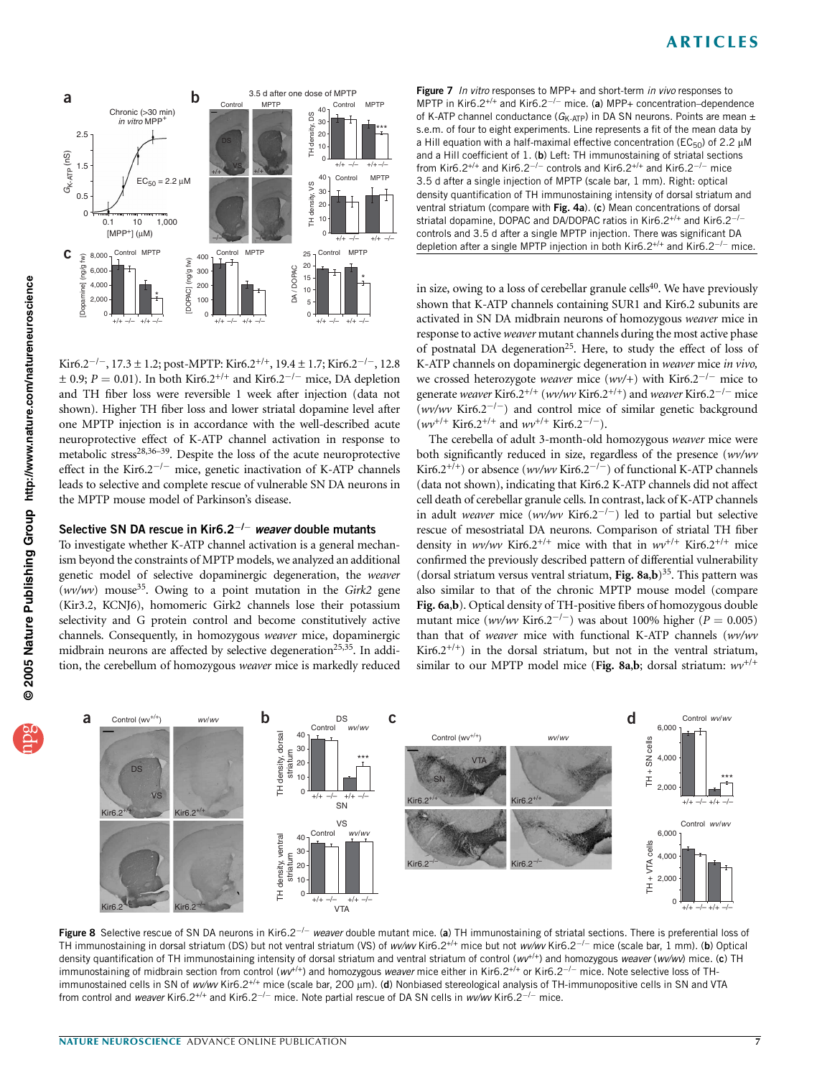

Kir6.2<sup>-/-</sup>, 17.3 ± 1.2; post-MPTP: Kir6.2<sup>+/+</sup>, 19.4 ± 1.7; Kir6.2<sup>-/-</sup>, 12.8  $\pm$  0.9; P = 0.01). In both Kir6.2<sup>+/+</sup> and Kir6.2<sup>-/-</sup> mice, DA depletion and TH fiber loss were reversible 1 week after injection (data not shown). Higher TH fiber loss and lower striatal dopamine level after one MPTP injection is in accordance with the well-described acute neuroprotective effect of K-ATP channel activation in response to metabolic stress<sup>28,36–39</sup>. Despite the loss of the acute neuroprotective effect in the Kir6.2<sup> $-/-$ </sup> mice, genetic inactivation of K-ATP channels leads to selective and complete rescue of vulnerable SN DA neurons in the MPTP mouse model of Parkinson's disease.

### Selective SN DA rescue in Kir6.2 $^{-/-}$  weaver double mutants

To investigate whether K-ATP channel activation is a general mechanism beyond the constraints of MPTP models, we analyzed an additional genetic model of selective dopaminergic degeneration, the weaver  $(wv/ wv)$  mouse<sup>35</sup>. Owing to a point mutation in the Girk2 gene (Kir3.2, KCNJ6), homomeric Girk2 channels lose their potassium selectivity and G protein control and become constitutively active channels. Consequently, in homozygous weaver mice, dopaminergic midbrain neurons are affected by selective degeneration<sup>25,35</sup>. In addition, the cerebellum of homozygous weaver mice is markedly reduced

Figure 7 In vitro responses to MPP+ and short-term in vivo responses to MPTP in Kir6.2<sup>+/+</sup> and Kir6.2<sup>-/-</sup> mice. (a) MPP+ concentration-dependence of K-ATP channel conductance ( $G_{K-ATP}$ ) in DA SN neurons. Points are mean  $\pm$ s.e.m. of four to eight experiments. Line represents a fit of the mean data by a Hill equation with a half-maximal effective concentration ( $EC_{50}$ ) of 2.2  $\mu$ M and a Hill coefficient of 1. (b) Left: TH immunostaining of striatal sections from Kir6.2<sup>+/+</sup> and Kir6.2<sup>-/-</sup> controls and Kir6.2<sup>+/+</sup> and Kir6.2<sup>-/-</sup> mice 3.5 d after a single injection of MPTP (scale bar, 1 mm). Right: optical density quantification of TH immunostaining intensity of dorsal striatum and ventral striatum (compare with Fig. 4a). (c) Mean concentrations of dorsal striatal dopamine, DOPAC and DA/DOPAC ratios in Kir6.2<sup>+/+</sup> and Kir6.2<sup>-/-</sup> controls and 3.5 d after a single MPTP injection. There was significant DA depletion after a single MPTP injection in both Kir6.2<sup>+/+</sup> and Kir6.2<sup>-/-</sup> mice.

in size, owing to a loss of cerebellar granule cells<sup>40</sup>. We have previously shown that K-ATP channels containing SUR1 and Kir6.2 subunits are activated in SN DA midbrain neurons of homozygous weaver mice in response to active weaver mutant channels during the most active phase of postnatal DA degeneration<sup>25</sup>. Here, to study the effect of loss of K-ATP channels on dopaminergic degeneration in weaver mice in vivo, we crossed heterozygote weaver mice (wv/+) with Kir6.2<sup>-/-</sup> mice to generate weaver Kir6.2<sup>+/+</sup> (wv/wv Kir6.2<sup>+/+</sup>) and weaver Kir6.2<sup>-/-</sup> mice (wv/wv Kir6.2<sup>-/-</sup>) and control mice of similar genetic background  $(wv^{+/+}$  Kir6.2<sup>+/+</sup> and  $wv^{+/+}$  Kir6.2<sup>-/-</sup>).

The cerebella of adult 3-month-old homozygous weaver mice were both significantly reduced in size, regardless of the presence (wv/wv Kir6.2<sup>+/+</sup>) or absence (wv/wv Kir6.2<sup>-/-</sup>) of functional K-ATP channels (data not shown), indicating that Kir6.2 K-ATP channels did not affect cell death of cerebellar granule cells. In contrast, lack of K-ATP channels in adult weaver mice (wv/wv Kir6.2<sup>-/-</sup>) led to partial but selective rescue of mesostriatal DA neurons. Comparison of striatal TH fiber density in wv/wv Kir6.2<sup>+/+</sup> mice with that in wv<sup>+/+</sup> Kir6.2<sup>+/+</sup> mice confirmed the previously described pattern of differential vulnerability (dorsal striatum versus ventral striatum, Fig.  $8a,b$ )<sup>35</sup>. This pattern was also similar to that of the chronic MPTP mouse model (compare Fig. 6a,b). Optical density of TH-positive fibers of homozygous double mutant mice (wv/wv Kir6.2<sup>-/-</sup>) was about 100% higher ( $P = 0.005$ ) than that of weaver mice with functional K-ATP channels (wv/wv Kir6.2<sup>+/+</sup>) in the dorsal striatum, but not in the ventral striatum, similar to our MPTP model mice (Fig. 8a,b; dorsal striatum:  $w v^{+/+}$ 



Figure 8 Selective rescue of SN DA neurons in Kir6.2<sup>-/-</sup> weaver double mutant mice. (a) TH immunostaining of striatal sections. There is preferential loss of TH immunostaining in dorsal striatum (DS) but not ventral striatum (VS) of www Kir6.2<sup>+/+</sup> mice but not www Kir6.2<sup>-/-</sup> mice (scale bar, 1 mm). (b) Optical density quantification of TH immunostaining intensity of dorsal striatum and ventral striatum of control ( $w^{+/-}$ ) and homozygous weaver (wv/wv) mice. (c) TH immunostaining of midbrain section from control ( $w^{t+1}$ ) and homozygous weaver mice either in Kir6.2<sup>+/+</sup> or Kir6.2<sup>-/-</sup> mice. Note selective loss of THimmunostained cells in SN of wv/wv Kir6.2<sup>+/+</sup> mice (scale bar, 200 µm). (d) Nonbiased stereological analysis of TH-immunopositive cells in SN and VTA from control and weaver Kir6.2<sup>+/+</sup> and Kir6.2<sup>-/-</sup> mice. Note partial rescue of DA SN cells in wv/wv Kir6.2<sup>-/-</sup> mice.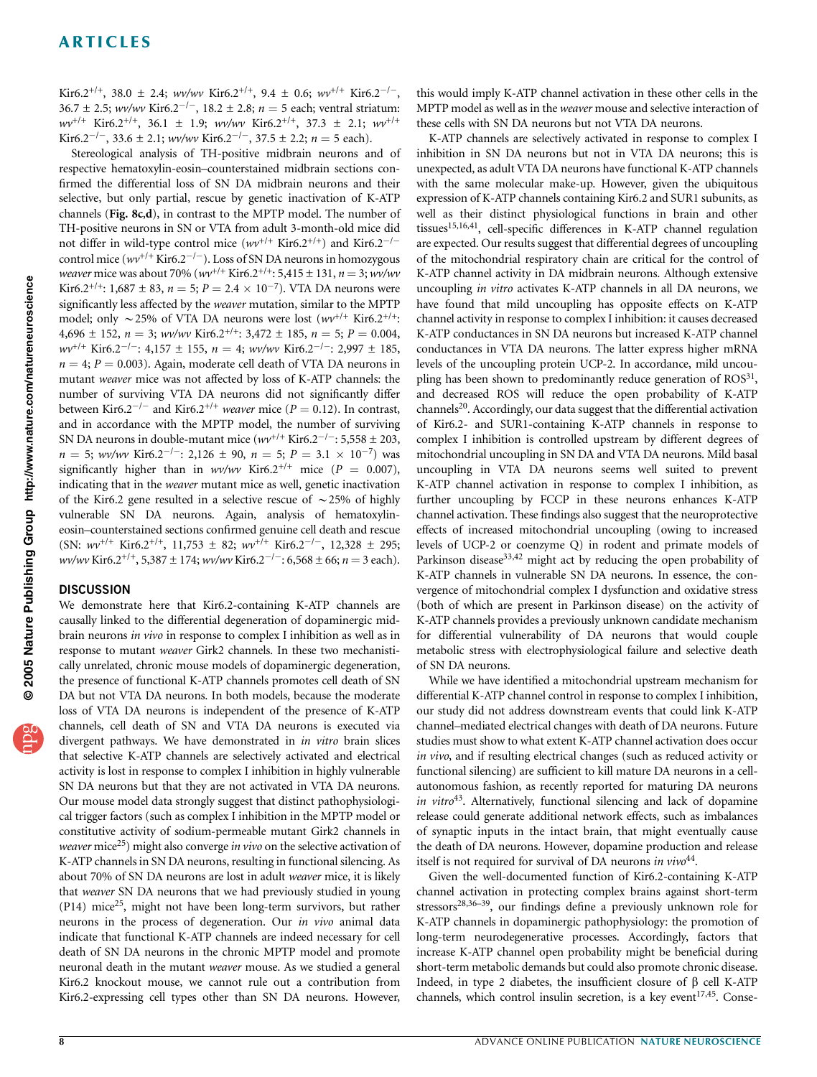Kir6.2<sup>+/+</sup>, 38.0  $\pm$  2.4; wv/wv Kir6.2<sup>+/+</sup>, 9.4  $\pm$  0.6; wv<sup>+/+</sup> Kir6.2<sup>-/-</sup>,  $36.7 \pm 2.5$ ; wv/wv Kir6.2<sup>-/-</sup>, 18.2 ± 2.8; n = 5 each; ventral striatum:  $wv^{+/+}$  Kir6.2<sup>+/+</sup>, 36.1  $\pm$  1.9; wv/wv Kir6.2<sup>+/+</sup>, 37.3  $\pm$  2.1; wv<sup>+/+</sup> Kir6.2<sup>-/-</sup>, 33.6 ± 2.1; wv/wv Kir6.2<sup>-/-</sup>, 37.5 ± 2.2; n = 5 each).

Stereological analysis of TH-positive midbrain neurons and of respective hematoxylin-eosin–counterstained midbrain sections confirmed the differential loss of SN DA midbrain neurons and their selective, but only partial, rescue by genetic inactivation of K-ATP channels (Fig. 8c,d), in contrast to the MPTP model. The number of TH-positive neurons in SN or VTA from adult 3-month-old mice did not differ in wild-type control mice  $(wv^{+/+}$  Kir6.2<sup>+/+</sup>) and Kir6.2<sup>-/-</sup> control mice ( $wv^{+/+}$  Kir6.2<sup>-/-</sup>). Loss of SN DA neurons in homozygous weaver mice was about 70% ( $wv^{+/+}$  Kir6.2<sup>+/+</sup>: 5,415 ± 131, n = 3; wv/wv Kir6.2<sup>+/+</sup>: 1,687 ± 83,  $n = 5$ ;  $P = 2.4 \times 10^{-7}$ ). VTA DA neurons were significantly less affected by the weaver mutation, similar to the MPTP model; only  $\sim$  25% of VTA DA neurons were lost ( $wv^{+/+}$  Kir6.2<sup>+/+</sup>: 4,696  $\pm$  152,  $n = 3$ ; wv/wv Kir6.2<sup>+/+</sup>: 3,472  $\pm$  185,  $n = 5$ ;  $P = 0.004$ ,  $wv^{+/+}$  Kir6.2<sup> $-/-$ </sup>: 4,157  $\pm$  155,  $n = 4$ ; wv/wv Kir6.2<sup> $-/-$ </sup>: 2,997  $\pm$  185,  $n = 4$ ;  $P = 0.003$ ). Again, moderate cell death of VTA DA neurons in mutant weaver mice was not affected by loss of K-ATP channels: the number of surviving VTA DA neurons did not significantly differ between Kir6.2<sup>-/-</sup> and Kir6.2<sup>+/+</sup> weaver mice ( $P = 0.12$ ). In contrast, and in accordance with the MPTP model, the number of surviving SN DA neurons in double-mutant mice  $(wv^{+/+}$  Kir6.2<sup> $-/-$ </sup>: 5,558  $\pm$  203,  $n = 5$ ; wv/wv Kir6.2<sup>-/-</sup>: 2,126  $\pm$  90,  $n = 5$ ;  $P = 3.1 \times 10^{-7}$ ) was significantly higher than in wv/wv Kir6.2<sup>+/+</sup> mice ( $P = 0.007$ ), indicating that in the weaver mutant mice as well, genetic inactivation of the Kir6.2 gene resulted in a selective rescue of  $\sim$  25% of highly vulnerable SN DA neurons. Again, analysis of hematoxylineosin–counterstained sections confirmed genuine cell death and rescue (SN:  $wv^{+/+}$  Kir6.2<sup>+/+</sup>, 11,753  $\pm$  82;  $wv^{+/+}$  Kir6.2<sup>-/-</sup>, 12,328  $\pm$  295; wv/wv Kir6.2<sup>+/+</sup>, 5,387 ± 174; wv/wv Kir6.2<sup>-/-</sup>: 6,568 ± 66; n = 3 each).

### **DISCUSSION**

We demonstrate here that Kir6.2-containing K-ATP channels are causally linked to the differential degeneration of dopaminergic midbrain neurons in vivo in response to complex I inhibition as well as in response to mutant weaver Girk2 channels. In these two mechanistically unrelated, chronic mouse models of dopaminergic degeneration, the presence of functional K-ATP channels promotes cell death of SN DA but not VTA DA neurons. In both models, because the moderate loss of VTA DA neurons is independent of the presence of K-ATP channels, cell death of SN and VTA DA neurons is executed via divergent pathways. We have demonstrated in *in vitro* brain slices that selective K-ATP channels are selectively activated and electrical activity is lost in response to complex I inhibition in highly vulnerable SN DA neurons but that they are not activated in VTA DA neurons. Our mouse model data strongly suggest that distinct pathophysiological trigger factors (such as complex I inhibition in the MPTP model or constitutive activity of sodium-permeable mutant Girk2 channels in weaver mice<sup>25</sup>) might also converge in vivo on the selective activation of K-ATP channels in SN DA neurons, resulting in functional silencing. As about 70% of SN DA neurons are lost in adult weaver mice, it is likely that weaver SN DA neurons that we had previously studied in young (P14) mice<sup>25</sup>, might not have been long-term survivors, but rather neurons in the process of degeneration. Our in vivo animal data indicate that functional K-ATP channels are indeed necessary for cell death of SN DA neurons in the chronic MPTP model and promote neuronal death in the mutant weaver mouse. As we studied a general Kir6.2 knockout mouse, we cannot rule out a contribution from Kir6.2-expressing cell types other than SN DA neurons. However,

this would imply K-ATP channel activation in these other cells in the MPTP model as well as in the *weaver* mouse and selective interaction of these cells with SN DA neurons but not VTA DA neurons.

K-ATP channels are selectively activated in response to complex I inhibition in SN DA neurons but not in VTA DA neurons; this is unexpected, as adult VTA DA neurons have functional K-ATP channels with the same molecular make-up. However, given the ubiquitous expression of K-ATP channels containing Kir6.2 and SUR1 subunits, as well as their distinct physiological functions in brain and other tissues<sup>15,16,41</sup>, cell-specific differences in K-ATP channel regulation are expected. Our results suggest that differential degrees of uncoupling of the mitochondrial respiratory chain are critical for the control of K-ATP channel activity in DA midbrain neurons. Although extensive uncoupling in vitro activates K-ATP channels in all DA neurons, we have found that mild uncoupling has opposite effects on K-ATP channel activity in response to complex I inhibition: it causes decreased K-ATP conductances in SN DA neurons but increased K-ATP channel conductances in VTA DA neurons. The latter express higher mRNA levels of the uncoupling protein UCP-2. In accordance, mild uncoupling has been shown to predominantly reduce generation of  $ROS<sup>31</sup>$ , and decreased ROS will reduce the open probability of K-ATP channels<sup>20</sup>. Accordingly, our data suggest that the differential activation of Kir6.2- and SUR1-containing K-ATP channels in response to complex I inhibition is controlled upstream by different degrees of mitochondrial uncoupling in SN DA and VTA DA neurons. Mild basal uncoupling in VTA DA neurons seems well suited to prevent K-ATP channel activation in response to complex I inhibition, as further uncoupling by FCCP in these neurons enhances K-ATP channel activation. These findings also suggest that the neuroprotective effects of increased mitochondrial uncoupling (owing to increased levels of UCP-2 or coenzyme Q) in rodent and primate models of Parkinson disease<sup>33,42</sup> might act by reducing the open probability of K-ATP channels in vulnerable SN DA neurons. In essence, the convergence of mitochondrial complex I dysfunction and oxidative stress (both of which are present in Parkinson disease) on the activity of K-ATP channels provides a previously unknown candidate mechanism for differential vulnerability of DA neurons that would couple metabolic stress with electrophysiological failure and selective death of SN DA neurons.

While we have identified a mitochondrial upstream mechanism for differential K-ATP channel control in response to complex I inhibition, our study did not address downstream events that could link K-ATP channel–mediated electrical changes with death of DA neurons. Future studies must show to what extent K-ATP channel activation does occur in vivo, and if resulting electrical changes (such as reduced activity or functional silencing) are sufficient to kill mature DA neurons in a cellautonomous fashion, as recently reported for maturing DA neurons in vitro $43$ . Alternatively, functional silencing and lack of dopamine release could generate additional network effects, such as imbalances of synaptic inputs in the intact brain, that might eventually cause the death of DA neurons. However, dopamine production and release itself is not required for survival of DA neurons in  $vivo^{44}$ .

Given the well-documented function of Kir6.2-containing K-ATP channel activation in protecting complex brains against short-term stressors<sup>28,36–39</sup>, our findings define a previously unknown role for K-ATP channels in dopaminergic pathophysiology: the promotion of long-term neurodegenerative processes. Accordingly, factors that increase K-ATP channel open probability might be beneficial during short-term metabolic demands but could also promote chronic disease. Indeed, in type 2 diabetes, the insufficient closure of  $\beta$  cell K-ATP channels, which control insulin secretion, is a key event<sup>17,45</sup>. Conse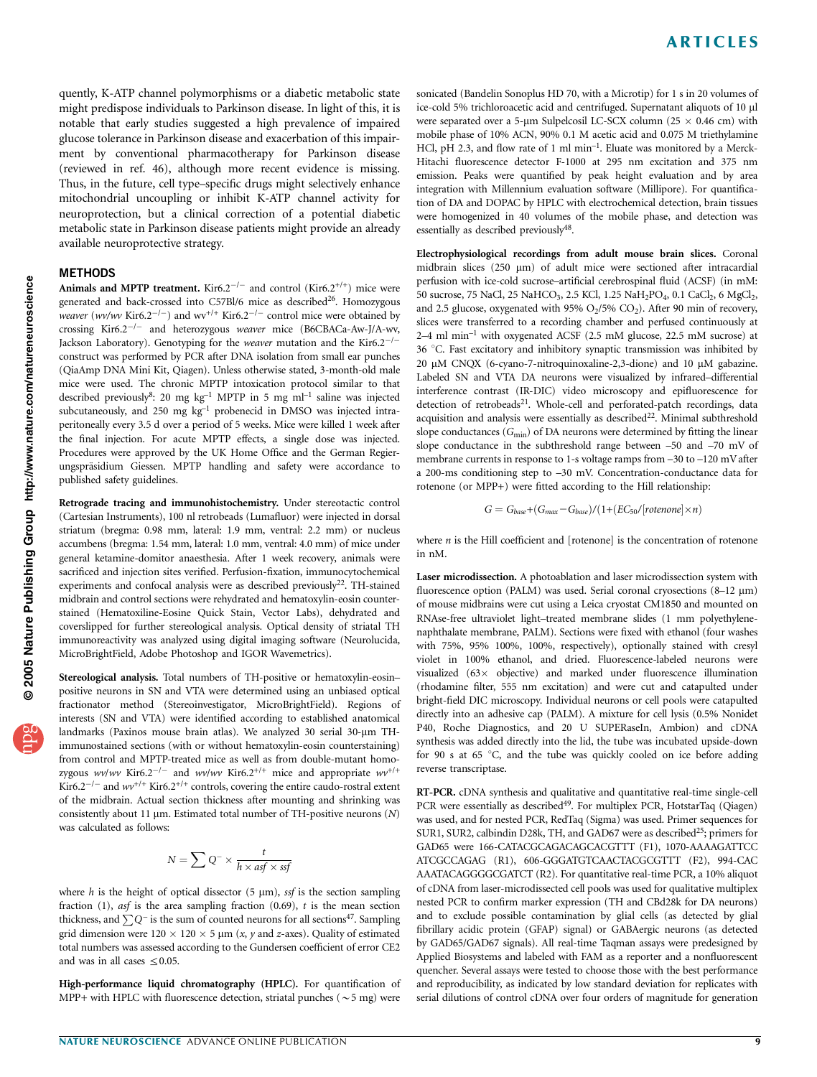quently, K-ATP channel polymorphisms or a diabetic metabolic state might predispose individuals to Parkinson disease. In light of this, it is notable that early studies suggested a high prevalence of impaired glucose tolerance in Parkinson disease and exacerbation of this impairment by conventional pharmacotherapy for Parkinson disease (reviewed in ref. 46), although more recent evidence is missing. Thus, in the future, cell type–specific drugs might selectively enhance mitochondrial uncoupling or inhibit K-ATP channel activity for neuroprotection, but a clinical correction of a potential diabetic metabolic state in Parkinson disease patients might provide an already available neuroprotective strategy.

### **METHODS**

Animals and MPTP treatment. Kir6.2<sup>-/-</sup> and control (Kir6.2<sup>+/+</sup>) mice were generated and back-crossed into C57Bl/6 mice as described<sup>26</sup>. Homozygous *weaver* (*wv/wv* Kir6.2<sup>-/-</sup>) and wv<sup>+/+</sup> Kir6.2<sup>-/-</sup> control mice were obtained by crossing Kir6.2<sup>-/-</sup> and heterozygous weaver mice (B6CBACa-Aw-J/A-wv, Jackson Laboratory). Genotyping for the *weaver* mutation and the Kir6.2<sup>-/-</sup> construct was performed by PCR after DNA isolation from small ear punches (QiaAmp DNA Mini Kit, Qiagen). Unless otherwise stated, 3-month-old male mice were used. The chronic MPTP intoxication protocol similar to that described previously<sup>8</sup>: 20 mg kg<sup>-1</sup> MPTP in 5 mg ml<sup>-1</sup> saline was injected subcutaneously, and 250 mg  $kg<sup>-1</sup>$  probenecid in DMSO was injected intraperitoneally every 3.5 d over a period of 5 weeks. Mice were killed 1 week after the final injection. For acute MPTP effects, a single dose was injected. Procedures were approved by the UK Home Office and the German Regierungspräsidium Giessen. MPTP handling and safety were accordance to published safety guidelines.

Retrograde tracing and immunohistochemistry. Under stereotactic control (Cartesian Instruments), 100 nl retrobeads (Lumafluor) were injected in dorsal striatum (bregma: 0.98 mm, lateral: 1.9 mm, ventral: 2.2 mm) or nucleus accumbens (bregma: 1.54 mm, lateral: 1.0 mm, ventral: 4.0 mm) of mice under general ketamine-domitor anaesthesia. After 1 week recovery, animals were sacrificed and injection sites verified. Perfusion-fixation, immunocytochemical experiments and confocal analysis were as described previously<sup>22</sup>. TH-stained midbrain and control sections were rehydrated and hematoxylin-eosin counterstained (Hematoxiline-Eosine Quick Stain, Vector Labs), dehydrated and coverslipped for further stereological analysis. Optical density of striatal TH immunoreactivity was analyzed using digital imaging software (Neurolucida, MicroBrightField, Adobe Photoshop and IGOR Wavemetrics).

Stereological analysis. Total numbers of TH-positive or hematoxylin-eosin– positive neurons in SN and VTA were determined using an unbiased optical fractionator method (Stereoinvestigator, MicroBrightField). Regions of interests (SN and VTA) were identified according to established anatomical landmarks (Paxinos mouse brain atlas). We analyzed 30 serial 30-um THimmunostained sections (with or without hematoxylin-eosin counterstaining) from control and MPTP-treated mice as well as from double-mutant homozygous wv/wv Kir6.2<sup>-/-</sup> and wv/wv Kir6.2<sup>+/+</sup> mice and appropriate  $w^{+/+}$ Kir6.2<sup>-/-</sup> and  $wv^{+/+}$  Kir6.2<sup>+/+</sup> controls, covering the entire caudo-rostral extent of the midbrain. Actual section thickness after mounting and shrinking was consistently about 11  $\mu$ m. Estimated total number of TH-positive neurons (N) was calculated as follows:

$$
N = \sum Q^{-} \times \frac{t}{h \times \text{asf} \times \text{ssf}}
$$

where h is the height of optical dissector (5  $\mu$ m), ssf is the section sampling fraction (1),  $a$ sf is the area sampling fraction (0.69),  $t$  is the mean section thickness, and  $\sum Q^{-1}$  is the sum of counted neurons for all sections<sup>47</sup>. Sampling grid dimension were  $120 \times 120 \times 5$  µm (x, y and z-axes). Quality of estimated total numbers was assessed according to the Gundersen coefficient of error CE2 and was in all cases  $\leq 0.05$ .

High-performance liquid chromatography (HPLC). For quantification of MPP+ with HPLC with fluorescence detection, striatal punches ( $\sim$  5 mg) were

sonicated (Bandelin Sonoplus HD 70, with a Microtip) for 1 s in 20 volumes of ice-cold 5% trichloroacetic acid and centrifuged. Supernatant aliquots of 10 ml were separated over a 5-µm Sulpelcosil LC-SCX column (25  $\times$  0.46 cm) with mobile phase of 10% ACN, 90% 0.1 M acetic acid and 0.075 M triethylamine HCl, pH 2.3, and flow rate of 1 ml min<sup>-1</sup>. Eluate was monitored by a Merck-Hitachi fluorescence detector F-1000 at 295 nm excitation and 375 nm emission. Peaks were quantified by peak height evaluation and by area integration with Millennium evaluation software (Millipore). For quantification of DA and DOPAC by HPLC with electrochemical detection, brain tissues were homogenized in 40 volumes of the mobile phase, and detection was essentially as described previously<sup>48</sup>.

Electrophysiological recordings from adult mouse brain slices. Coronal midbrain slices (250  $\mu$ m) of adult mice were sectioned after intracardial perfusion with ice-cold sucrose–artificial cerebrospinal fluid (ACSF) (in mM: 50 sucrose, 75 NaCl, 25 NaHCO<sub>3</sub>, 2.5 KCl, 1.25 NaH<sub>2</sub>PO<sub>4</sub>, 0.1 CaCl<sub>2</sub>, 6 MgCl<sub>2</sub>, and 2.5 glucose, oxygenated with 95%  $O<sub>2</sub>/5$ %  $CO<sub>2</sub>$ ). After 90 min of recovery, slices were transferred to a recording chamber and perfused continuously at 2–4 ml min–1 with oxygenated ACSF (2.5 mM glucose, 22.5 mM sucrose) at 36 °C. Fast excitatory and inhibitory synaptic transmission was inhibited by 20 μM CNQX (6-cyano-7-nitroquinoxaline-2,3-dione) and 10 μM gabazine. Labeled SN and VTA DA neurons were visualized by infrared–differential interference contrast (IR-DIC) video microscopy and epifluorescence for detection of retrobeads<sup>21</sup>. Whole-cell and perforated-patch recordings, data acquisition and analysis were essentially as described $^{22}$ . Minimal subthreshold slope conductances  $(G_{min})$  of DA neurons were determined by fitting the linear slope conductance in the subthreshold range between –50 and –70 mV of membrane currents in response to 1-s voltage ramps from –30 to –120 mV after a 200-ms conditioning step to –30 mV. Concentration-conductance data for rotenone (or MPP+) were fitted according to the Hill relationship:

$$
G = G_{base} + (G_{max} - G_{base}) / (1 + (EC_{50}/[rotenone] \times n)
$$

where  $n$  is the Hill coefficient and [rotenone] is the concentration of rotenone in nM.

Laser microdissection. A photoablation and laser microdissection system with fluorescence option (PALM) was used. Serial coronal cryosections (8-12  $\mu$ m) of mouse midbrains were cut using a Leica cryostat CM1850 and mounted on RNAse-free ultraviolet light–treated membrane slides (1 mm polyethylenenaphthalate membrane, PALM). Sections were fixed with ethanol (four washes with 75%, 95% 100%, 100%, respectively), optionally stained with cresyl violet in 100% ethanol, and dried. Fluorescence-labeled neurons were visualized (63× objective) and marked under fluorescence illumination (rhodamine filter, 555 nm excitation) and were cut and catapulted under bright-field DIC microscopy. Individual neurons or cell pools were catapulted directly into an adhesive cap (PALM). A mixture for cell lysis (0.5% Nonidet P40, Roche Diagnostics, and 20 U SUPERaseIn, Ambion) and cDNA synthesis was added directly into the lid, the tube was incubated upside-down for 90 s at 65 °C, and the tube was quickly cooled on ice before adding reverse transcriptase.

RT-PCR. cDNA synthesis and qualitative and quantitative real-time single-cell PCR were essentially as described<sup>49</sup>. For multiplex PCR, HotstarTaq (Qiagen) was used, and for nested PCR, RedTaq (Sigma) was used. Primer sequences for SUR1, SUR2, calbindin D28k, TH, and GAD67 were as described<sup>25</sup>; primers for GAD65 were 166-CATACGCAGACAGCACGTTT (F1), 1070-AAAAGATTCC ATCGCCAGAG (R1), 606-GGGATGTCAACTACGCGTTT (F2), 994-CAC AAATACAGGGGCGATCT (R2). For quantitative real-time PCR, a 10% aliquot of cDNA from laser-microdissected cell pools was used for qualitative multiplex nested PCR to confirm marker expression (TH and CBd28k for DA neurons) and to exclude possible contamination by glial cells (as detected by glial fibrillary acidic protein (GFAP) signal) or GABAergic neurons (as detected by GAD65/GAD67 signals). All real-time Taqman assays were predesigned by Applied Biosystems and labeled with FAM as a reporter and a nonfluorescent quencher. Several assays were tested to choose those with the best performance and reproducibility, as indicated by low standard deviation for replicates with serial dilutions of control cDNA over four orders of magnitude for generation